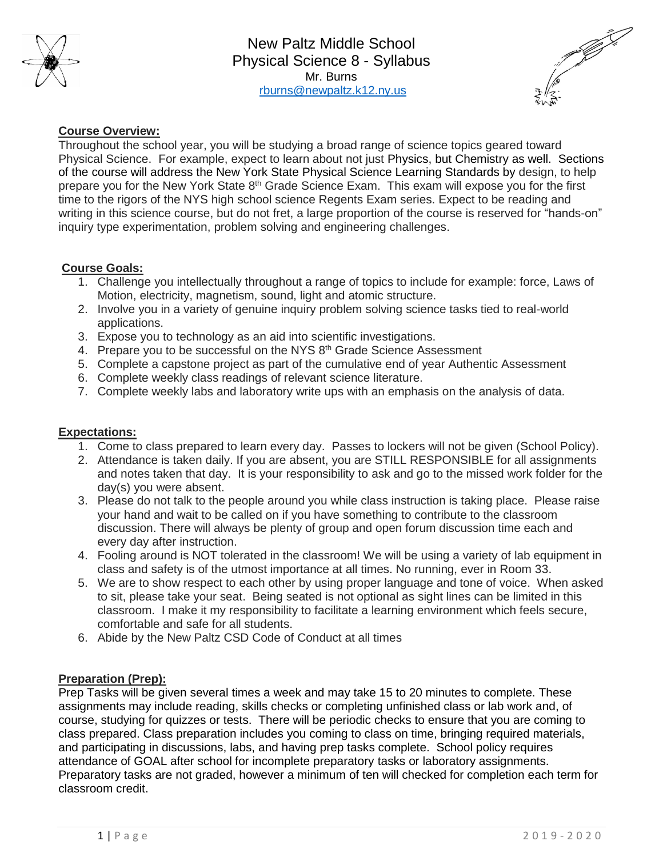

New Paltz Middle School Physical Science 8 - Syllabus Mr. Burns [rburns@newpaltz.k12.ny.us](mailto:rburns@newpaltz.k12.ny.us)



# **Course Overview:**

Throughout the school year, you will be studying a broad range of science topics geared toward Physical Science. For example, expect to learn about not just Physics, but Chemistry as well. Sections of the course will address the New York State Physical Science Learning Standards by design, to help prepare you for the New York State 8<sup>th</sup> Grade Science Exam. This exam will expose you for the first time to the rigors of the NYS high school science Regents Exam series. Expect to be reading and writing in this science course, but do not fret, a large proportion of the course is reserved for "hands-on" inquiry type experimentation, problem solving and engineering challenges.

## **Course Goals:**

- 1. Challenge you intellectually throughout a range of topics to include for example: force, Laws of Motion, electricity, magnetism, sound, light and atomic structure.
- 2. Involve you in a variety of genuine inquiry problem solving science tasks tied to real-world applications.
- 3. Expose you to technology as an aid into scientific investigations.
- 4. Prepare you to be successful on the NYS 8<sup>th</sup> Grade Science Assessment
- 5. Complete a capstone project as part of the cumulative end of year Authentic Assessment
- 6. Complete weekly class readings of relevant science literature.
- 7. Complete weekly labs and laboratory write ups with an emphasis on the analysis of data.

#### **Expectations:**

- 1. Come to class prepared to learn every day. Passes to lockers will not be given (School Policy).
- 2. Attendance is taken daily. If you are absent, you are STILL RESPONSIBLE for all assignments and notes taken that day. It is your responsibility to ask and go to the missed work folder for the day(s) you were absent.
- 3. Please do not talk to the people around you while class instruction is taking place. Please raise your hand and wait to be called on if you have something to contribute to the classroom discussion. There will always be plenty of group and open forum discussion time each and every day after instruction.
- 4. Fooling around is NOT tolerated in the classroom! We will be using a variety of lab equipment in class and safety is of the utmost importance at all times. No running, ever in Room 33.
- 5. We are to show respect to each other by using proper language and tone of voice. When asked to sit, please take your seat. Being seated is not optional as sight lines can be limited in this classroom. I make it my responsibility to facilitate a learning environment which feels secure, comfortable and safe for all students.
- 6. Abide by the New Paltz CSD Code of Conduct at all times

## **Preparation (Prep):**

Prep Tasks will be given several times a week and may take 15 to 20 minutes to complete. These assignments may include reading, skills checks or completing unfinished class or lab work and, of course, studying for quizzes or tests. There will be periodic checks to ensure that you are coming to class prepared. Class preparation includes you coming to class on time, bringing required materials, and participating in discussions, labs, and having prep tasks complete. School policy requires attendance of GOAL after school for incomplete preparatory tasks or laboratory assignments. Preparatory tasks are not graded, however a minimum of ten will checked for completion each term for classroom credit.